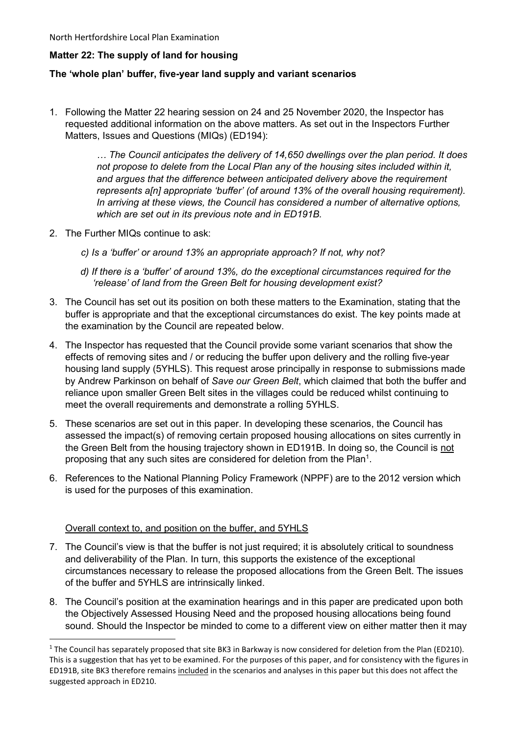### **Matter 22: The supply of land for housing**

### **The 'whole plan' buffer, five-year land supply and variant scenarios**

1. Following the Matter 22 hearing session on 24 and 25 November 2020, the Inspector has requested additional information on the above matters. As set out in the Inspectors Further Matters, Issues and Questions (MIQs) (ED194):

> *… The Council anticipates the delivery of 14,650 dwellings over the plan period. It does not propose to delete from the Local Plan any of the housing sites included within it,*  and argues that the difference between anticipated delivery above the requirement *represents a[n] appropriate 'buffer' (of around 13% of the overall housing requirement). In arriving at these views, the Council has considered a number of alternative options, which are set out in its previous note and in ED191B.*

- 2. The Further MIQs continue to ask:
	- *c) Is a 'buffer' or around 13% an appropriate approach? If not, why not?*
	- *d) If there is a 'buffer' of around 13%, do the exceptional circumstances required for the 'release' of land from the Green Belt for housing development exist?*
- 3. The Council has set out its position on both these matters to the Examination, stating that the buffer is appropriate and that the exceptional circumstances do exist. The key points made at the examination by the Council are repeated below.
- 4. The Inspector has requested that the Council provide some variant scenarios that show the effects of removing sites and / or reducing the buffer upon delivery and the rolling five-year housing land supply (5YHLS). This request arose principally in response to submissions made by Andrew Parkinson on behalf of *Save our Green Belt*, which claimed that both the buffer and reliance upon smaller Green Belt sites in the villages could be reduced whilst continuing to meet the overall requirements and demonstrate a rolling 5YHLS.
- 5. These scenarios are set out in this paper. In developing these scenarios, the Council has assessed the impact(s) of removing certain proposed housing allocations on sites currently in the Green Belt from the housing trajectory shown in ED191B. In doing so, the Council is not proposing that any such sites are considered for deletion from the Plan<sup>1</sup>.
- 6. References to the National Planning Policy Framework (NPPF) are to the 2012 version which is used for the purposes of this examination.

#### Overall context to, and position on the buffer, and 5YHLS

- 7. The Council's view is that the buffer is not just required; it is absolutely critical to soundness and deliverability of the Plan. In turn, this supports the existence of the exceptional circumstances necessary to release the proposed allocations from the Green Belt. The issues of the buffer and 5YHLS are intrinsically linked.
- 8. The Council's position at the examination hearings and in this paper are predicated upon both the Objectively Assessed Housing Need and the proposed housing allocations being found sound. Should the Inspector be minded to come to a different view on either matter then it may

<sup>&</sup>lt;sup>1</sup> The Council has separately proposed that site BK3 in Barkway is now considered for deletion from the Plan (ED210). This is a suggestion that has yet to be examined. For the purposes of this paper, and for consistency with the figures in ED191B, site BK3 therefore remains included in the scenarios and analyses in this paper but this does not affect the suggested approach in ED210.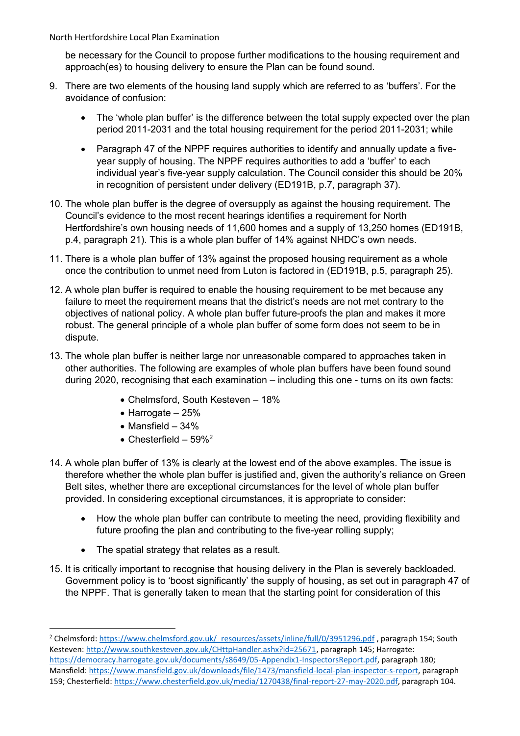be necessary for the Council to propose further modifications to the housing requirement and approach(es) to housing delivery to ensure the Plan can be found sound.

- 9. There are two elements of the housing land supply which are referred to as 'buffers'. For the avoidance of confusion:
	- The 'whole plan buffer' is the difference between the total supply expected over the plan period 2011-2031 and the total housing requirement for the period 2011-2031; while
	- Paragraph 47 of the NPPF requires authorities to identify and annually update a fiveyear supply of housing. The NPPF requires authorities to add a 'buffer' to each individual year's five-year supply calculation. The Council consider this should be 20% in recognition of persistent under delivery (ED191B, p.7, paragraph 37).
- 10. The whole plan buffer is the degree of oversupply as against the housing requirement. The Council's evidence to the most recent hearings identifies a requirement for North Hertfordshire's own housing needs of 11,600 homes and a supply of 13,250 homes (ED191B, p.4, paragraph 21). This is a whole plan buffer of 14% against NHDC's own needs.
- 11. There is a whole plan buffer of 13% against the proposed housing requirement as a whole once the contribution to unmet need from Luton is factored in (ED191B, p.5, paragraph 25).
- 12. A whole plan buffer is required to enable the housing requirement to be met because any failure to meet the requirement means that the district's needs are not met contrary to the objectives of national policy. A whole plan buffer future-proofs the plan and makes it more robust. The general principle of a whole plan buffer of some form does not seem to be in dispute.
- 13. The whole plan buffer is neither large nor unreasonable compared to approaches taken in other authorities. The following are examples of whole plan buffers have been found sound during 2020, recognising that each examination – including this one - turns on its own facts:
	- Chelmsford, South Kesteven 18%
	- Harrogate 25%
	- Mansfield 34%
	- Chesterfield  $59\%^2$
- 14. A whole plan buffer of 13% is clearly at the lowest end of the above examples. The issue is therefore whether the whole plan buffer is justified and, given the authority's reliance on Green Belt sites, whether there are exceptional circumstances for the level of whole plan buffer provided. In considering exceptional circumstances, it is appropriate to consider:
	- How the whole plan buffer can contribute to meeting the need, providing flexibility and future proofing the plan and contributing to the five-year rolling supply;
	- The spatial strategy that relates as a result.
- 15. It is critically important to recognise that housing delivery in the Plan is severely backloaded. Government policy is to 'boost significantly' the supply of housing, as set out in paragraph 47 of the NPPF. That is generally taken to mean that the starting point for consideration of this

<sup>&</sup>lt;sup>2</sup> Chelmsford: [https://www.chelmsford.gov.uk/\\_resources/assets/inline/full/0/3951296.pdf](https://www.chelmsford.gov.uk/_resources/assets/inline/full/0/3951296.pdf) , paragraph 154; South Kesteven: [http://www.southkesteven.gov.uk/CHttpHandler.ashx?id=25671,](http://www.southkesteven.gov.uk/CHttpHandler.ashx?id=25671) paragraph 145; Harrogate: [https://democracy.harrogate.gov.uk/documents/s8649/05-Appendix1-InspectorsReport.pdf,](https://democracy.harrogate.gov.uk/documents/s8649/05-Appendix1-InspectorsReport.pdf) paragraph 180; Mansfield: [https://www.mansfield.gov.uk/downloads/file/1473/mansfield-local-plan-inspector-s-report,](https://www.mansfield.gov.uk/downloads/file/1473/mansfield-local-plan-inspector-s-report) paragraph 159; Chesterfield: [https://www.chesterfield.gov.uk/media/1270438/final-report-27-may-2020.pdf,](https://www.chesterfield.gov.uk/media/1270438/final-report-27-may-2020.pdf) paragraph 104.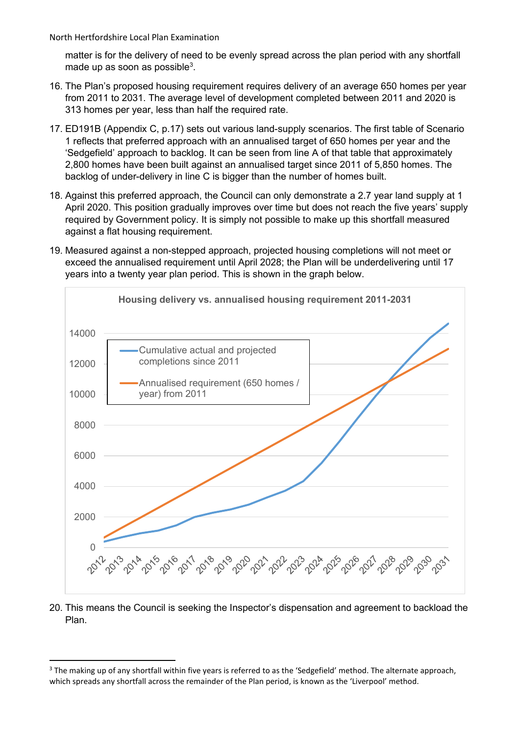matter is for the delivery of need to be evenly spread across the plan period with any shortfall made up as soon as possible $3$ .

- 16. The Plan's proposed housing requirement requires delivery of an average 650 homes per year from 2011 to 2031. The average level of development completed between 2011 and 2020 is 313 homes per year, less than half the required rate.
- 17. ED191B (Appendix C, p.17) sets out various land-supply scenarios. The first table of Scenario 1 reflects that preferred approach with an annualised target of 650 homes per year and the 'Sedgefield' approach to backlog. It can be seen from line A of that table that approximately 2,800 homes have been built against an annualised target since 2011 of 5,850 homes. The backlog of under-delivery in line C is bigger than the number of homes built.
- 18. Against this preferred approach, the Council can only demonstrate a 2.7 year land supply at 1 April 2020. This position gradually improves over time but does not reach the five years' supply required by Government policy. It is simply not possible to make up this shortfall measured against a flat housing requirement.
- 19. Measured against a non-stepped approach, projected housing completions will not meet or exceed the annualised requirement until April 2028; the Plan will be underdelivering until 17 years into a twenty year plan period. This is shown in the graph below.



20. This means the Council is seeking the Inspector's dispensation and agreement to backload the Plan.

<sup>&</sup>lt;sup>3</sup> The making up of any shortfall within five years is referred to as the 'Sedgefield' method. The alternate approach, which spreads any shortfall across the remainder of the Plan period, is known as the 'Liverpool' method.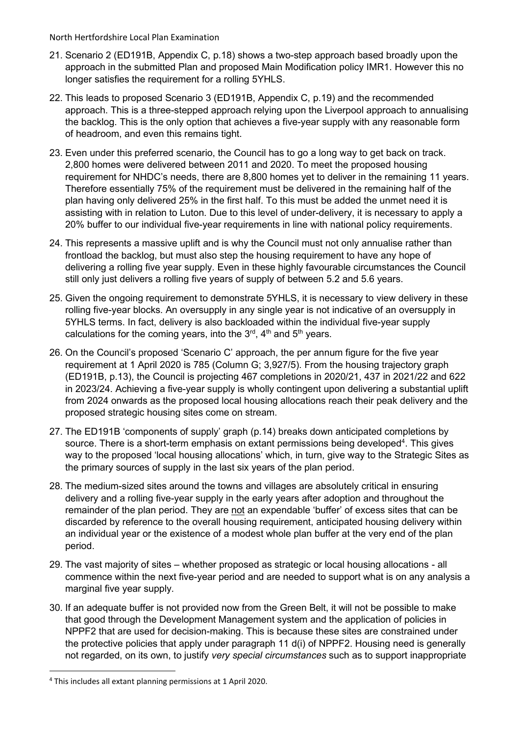- 21. Scenario 2 (ED191B, Appendix C, p.18) shows a two-step approach based broadly upon the approach in the submitted Plan and proposed Main Modification policy IMR1. However this no longer satisfies the requirement for a rolling 5YHLS.
- 22. This leads to proposed Scenario 3 (ED191B, Appendix C, p.19) and the recommended approach. This is a three-stepped approach relying upon the Liverpool approach to annualising the backlog. This is the only option that achieves a five-year supply with any reasonable form of headroom, and even this remains tight.
- 23. Even under this preferred scenario, the Council has to go a long way to get back on track. 2,800 homes were delivered between 2011 and 2020. To meet the proposed housing requirement for NHDC's needs, there are 8,800 homes yet to deliver in the remaining 11 years. Therefore essentially 75% of the requirement must be delivered in the remaining half of the plan having only delivered 25% in the first half. To this must be added the unmet need it is assisting with in relation to Luton. Due to this level of under-delivery, it is necessary to apply a 20% buffer to our individual five-year requirements in line with national policy requirements.
- 24. This represents a massive uplift and is why the Council must not only annualise rather than frontload the backlog, but must also step the housing requirement to have any hope of delivering a rolling five year supply. Even in these highly favourable circumstances the Council still only just delivers a rolling five years of supply of between 5.2 and 5.6 years.
- 25. Given the ongoing requirement to demonstrate 5YHLS, it is necessary to view delivery in these rolling five-year blocks. An oversupply in any single year is not indicative of an oversupply in 5YHLS terms. In fact, delivery is also backloaded within the individual five-year supply calculations for the coming years, into the 3<sup>rd</sup>, 4<sup>th</sup> and 5<sup>th</sup> years.
- 26. On the Council's proposed 'Scenario C' approach, the per annum figure for the five year requirement at 1 April 2020 is 785 (Column G; 3,927/5). From the housing trajectory graph (ED191B, p.13), the Council is projecting 467 completions in 2020/21, 437 in 2021/22 and 622 in 2023/24. Achieving a five-year supply is wholly contingent upon delivering a substantial uplift from 2024 onwards as the proposed local housing allocations reach their peak delivery and the proposed strategic housing sites come on stream.
- 27. The ED191B 'components of supply' graph (p.14) breaks down anticipated completions by source. There is a short-term emphasis on extant permissions being developed<sup>4</sup>. This gives way to the proposed 'local housing allocations' which, in turn, give way to the Strategic Sites as the primary sources of supply in the last six years of the plan period.
- 28. The medium-sized sites around the towns and villages are absolutely critical in ensuring delivery and a rolling five-year supply in the early years after adoption and throughout the remainder of the plan period. They are not an expendable 'buffer' of excess sites that can be discarded by reference to the overall housing requirement, anticipated housing delivery within an individual year or the existence of a modest whole plan buffer at the very end of the plan period.
- 29. The vast majority of sites whether proposed as strategic or local housing allocations all commence within the next five-year period and are needed to support what is on any analysis a marginal five year supply.
- 30. If an adequate buffer is not provided now from the Green Belt, it will not be possible to make that good through the Development Management system and the application of policies in NPPF2 that are used for decision-making. This is because these sites are constrained under the protective policies that apply under paragraph 11 d(i) of NPPF2. Housing need is generally not regarded, on its own, to justify *very special circumstances* such as to support inappropriate

<sup>4</sup> This includes all extant planning permissions at 1 April 2020.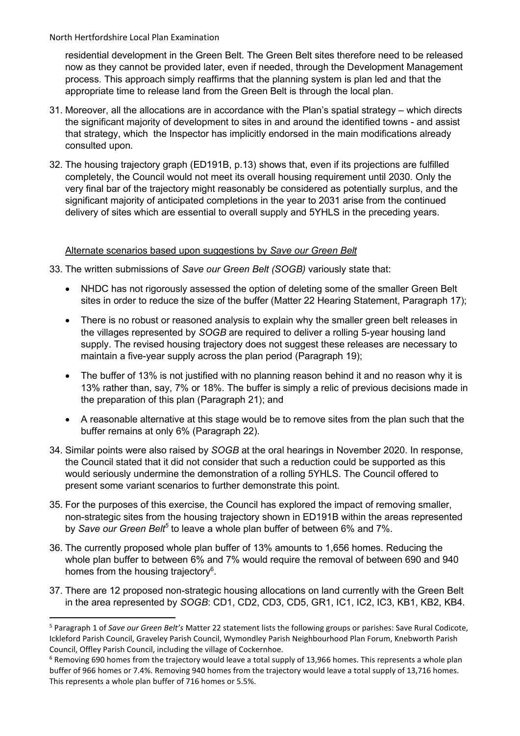residential development in the Green Belt. The Green Belt sites therefore need to be released now as they cannot be provided later, even if needed, through the Development Management process. This approach simply reaffirms that the planning system is plan led and that the appropriate time to release land from the Green Belt is through the local plan.

- 31. Moreover, all the allocations are in accordance with the Plan's spatial strategy which directs the significant majority of development to sites in and around the identified towns - and assist that strategy, which the Inspector has implicitly endorsed in the main modifications already consulted upon.
- 32. The housing trajectory graph (ED191B, p.13) shows that, even if its projections are fulfilled completely, the Council would not meet its overall housing requirement until 2030. Only the very final bar of the trajectory might reasonably be considered as potentially surplus, and the significant majority of anticipated completions in the year to 2031 arise from the continued delivery of sites which are essential to overall supply and 5YHLS in the preceding years.

### Alternate scenarios based upon suggestions by *Save our Green Belt*

- 33. The written submissions of *Save our Green Belt (SOGB)* variously state that:
	- NHDC has not rigorously assessed the option of deleting some of the smaller Green Belt sites in order to reduce the size of the buffer (Matter 22 Hearing Statement, Paragraph 17);
	- There is no robust or reasoned analysis to explain why the smaller green belt releases in the villages represented by *SOGB* are required to deliver a rolling 5-year housing land supply. The revised housing trajectory does not suggest these releases are necessary to maintain a five-year supply across the plan period (Paragraph 19);
	- The buffer of 13% is not justified with no planning reason behind it and no reason why it is 13% rather than, say, 7% or 18%. The buffer is simply a relic of previous decisions made in the preparation of this plan (Paragraph 21); and
	- A reasonable alternative at this stage would be to remove sites from the plan such that the buffer remains at only 6% (Paragraph 22).
- 34. Similar points were also raised by *SOGB* at the oral hearings in November 2020. In response, the Council stated that it did not consider that such a reduction could be supported as this would seriously undermine the demonstration of a rolling 5YHLS. The Council offered to present some variant scenarios to further demonstrate this point.
- 35. For the purposes of this exercise, the Council has explored the impact of removing smaller, non-strategic sites from the housing trajectory shown in ED191B within the areas represented by *Save our Green Belt<sup>5</sup>* to leave a whole plan buffer of between 6% and 7%.
- 36. The currently proposed whole plan buffer of 13% amounts to 1,656 homes. Reducing the whole plan buffer to between 6% and 7% would require the removal of between 690 and 940 homes from the housing trajectory<sup>6</sup>.
- 37. There are 12 proposed non-strategic housing allocations on land currently with the Green Belt in the area represented by *SOGB*: CD1, CD2, CD3, CD5, GR1, IC1, IC2, IC3, KB1, KB2, KB4.

<sup>5</sup> Paragraph 1 of *Save our Green Belt's* Matter 22 statement lists the following groups or parishes: Save Rural Codicote, Ickleford Parish Council, Graveley Parish Council, Wymondley Parish Neighbourhood Plan Forum, Knebworth Parish Council, Offley Parish Council, including the village of Cockernhoe.

<sup>&</sup>lt;sup>6</sup> Removing 690 homes from the trajectory would leave a total supply of 13,966 homes. This represents a whole plan buffer of 966 homes or 7.4%. Removing 940 homes from the trajectory would leave a total supply of 13,716 homes. This represents a whole plan buffer of 716 homes or 5.5%.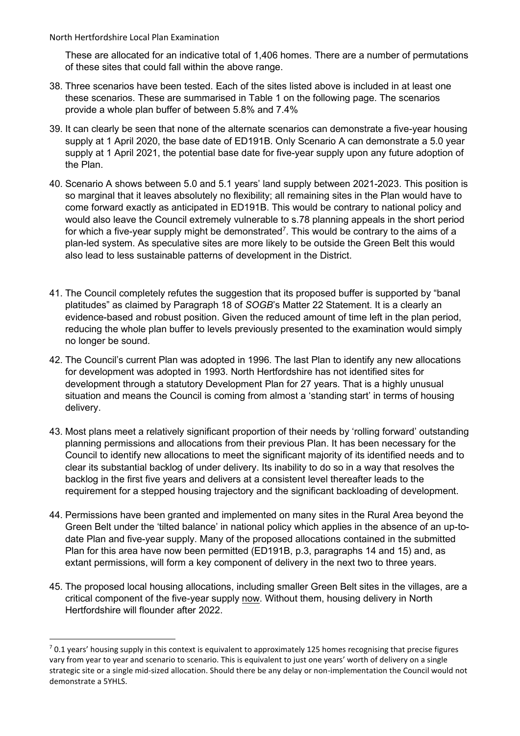These are allocated for an indicative total of 1,406 homes. There are a number of permutations of these sites that could fall within the above range.

- 38. Three scenarios have been tested. Each of the sites listed above is included in at least one these scenarios. These are summarised in Table 1 on the following page. The scenarios provide a whole plan buffer of between 5.8% and 7.4%
- 39. It can clearly be seen that none of the alternate scenarios can demonstrate a five-year housing supply at 1 April 2020, the base date of ED191B. Only Scenario A can demonstrate a 5.0 year supply at 1 April 2021, the potential base date for five-year supply upon any future adoption of the Plan.
- 40. Scenario A shows between 5.0 and 5.1 years' land supply between 2021-2023. This position is so marginal that it leaves absolutely no flexibility; all remaining sites in the Plan would have to come forward exactly as anticipated in ED191B. This would be contrary to national policy and would also leave the Council extremely vulnerable to s.78 planning appeals in the short period for which a five-year supply might be demonstrated<sup>7</sup>. This would be contrary to the aims of a plan-led system. As speculative sites are more likely to be outside the Green Belt this would also lead to less sustainable patterns of development in the District.
- 41. The Council completely refutes the suggestion that its proposed buffer is supported by "banal platitudes" as claimed by Paragraph 18 of *SOGB*'s Matter 22 Statement. It is a clearly an evidence-based and robust position. Given the reduced amount of time left in the plan period, reducing the whole plan buffer to levels previously presented to the examination would simply no longer be sound.
- 42. The Council's current Plan was adopted in 1996. The last Plan to identify any new allocations for development was adopted in 1993. North Hertfordshire has not identified sites for development through a statutory Development Plan for 27 years. That is a highly unusual situation and means the Council is coming from almost a 'standing start' in terms of housing delivery.
- 43. Most plans meet a relatively significant proportion of their needs by 'rolling forward' outstanding planning permissions and allocations from their previous Plan. It has been necessary for the Council to identify new allocations to meet the significant majority of its identified needs and to clear its substantial backlog of under delivery. Its inability to do so in a way that resolves the backlog in the first five years and delivers at a consistent level thereafter leads to the requirement for a stepped housing trajectory and the significant backloading of development.
- 44. Permissions have been granted and implemented on many sites in the Rural Area beyond the Green Belt under the 'tilted balance' in national policy which applies in the absence of an up-todate Plan and five-year supply. Many of the proposed allocations contained in the submitted Plan for this area have now been permitted (ED191B, p.3, paragraphs 14 and 15) and, as extant permissions, will form a key component of delivery in the next two to three years.
- 45. The proposed local housing allocations, including smaller Green Belt sites in the villages, are a critical component of the five-year supply now. Without them, housing delivery in North Hertfordshire will flounder after 2022.

 $7$  0.1 years' housing supply in this context is equivalent to approximately 125 homes recognising that precise figures vary from year to year and scenario to scenario. This is equivalent to just one years' worth of delivery on a single strategic site or a single mid-sized allocation. Should there be any delay or non-implementation the Council would not demonstrate a 5YHLS.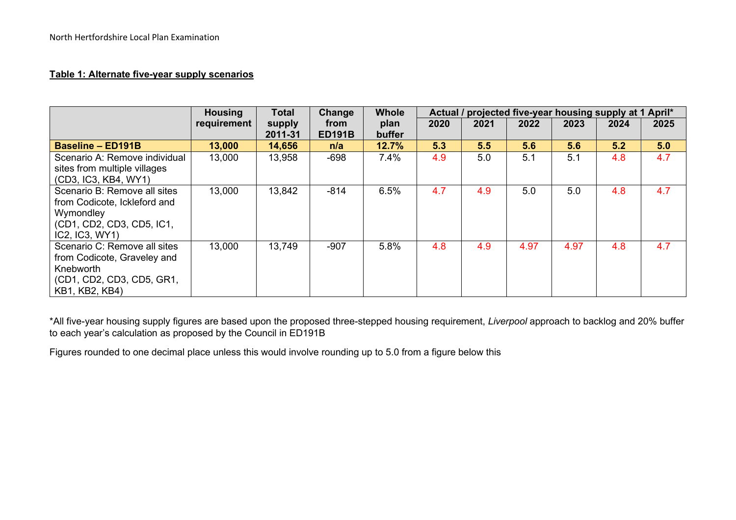### **Table 1: Alternate five-year supply scenarios**

|                                                                                                                          | <b>Housing</b> | <b>Total</b>      | Change                | <b>Whole</b>   | Actual / projected five-year housing supply at 1 April* |      |      |      |      |      |
|--------------------------------------------------------------------------------------------------------------------------|----------------|-------------------|-----------------------|----------------|---------------------------------------------------------|------|------|------|------|------|
|                                                                                                                          | requirement    | supply<br>2011-31 | from<br><b>ED191B</b> | plan<br>buffer | 2020                                                    | 2021 | 2022 | 2023 | 2024 | 2025 |
| <b>Baseline - ED191B</b>                                                                                                 | 13,000         | 14,656            | n/a                   | 12.7%          | 5.3                                                     | 5.5  | 5.6  | 5.6  | 5.2  | 5.0  |
| Scenario A: Remove individual<br>sites from multiple villages<br>(CD3, IC3, KB4, WY1)                                    | 13,000         | 13,958            | $-698$                | 7.4%           | 4.9                                                     | 5.0  | 5.1  | 5.1  | 4.8  | 4.7  |
| Scenario B: Remove all sites<br>from Codicote, Ickleford and<br>Wymondley<br>(CD1, CD2, CD3, CD5, IC1,<br>IC2, IC3, WY1) | 13,000         | 13,842            | $-814$                | 6.5%           | 4.7                                                     | 4.9  | 5.0  | 5.0  | 4.8  | 4.7  |
| Scenario C: Remove all sites<br>from Codicote, Graveley and<br>Knebworth<br>(CD1, CD2, CD3, CD5, GR1,<br>KB1, KB2, KB4)  | 13,000         | 13,749            | $-907$                | 5.8%           | 4.8                                                     | 4.9  | 4.97 | 4.97 | 4.8  | 4.7  |

\*All five-year housing supply figures are based upon the proposed three-stepped housing requirement, *Liverpool* approach to backlog and 20% buffer to each year's calculation as proposed by the Council in ED191B

Figures rounded to one decimal place unless this would involve rounding up to 5.0 from a figure below this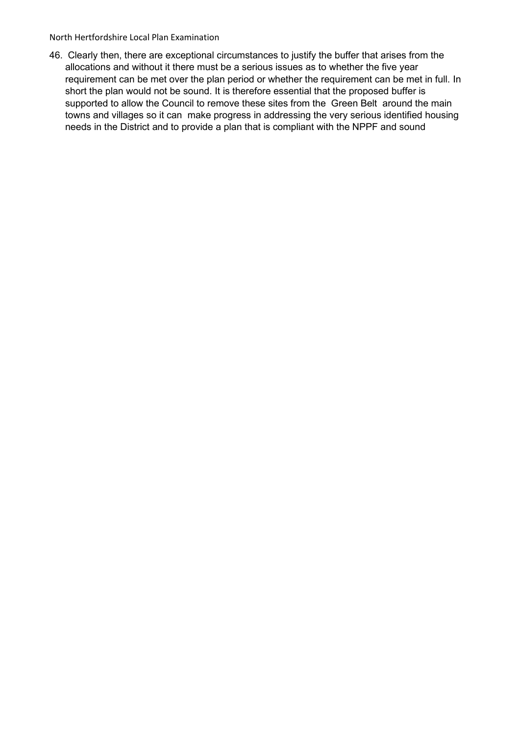46. Clearly then, there are exceptional circumstances to justify the buffer that arises from the allocations and without it there must be a serious issues as to whether the five year requirement can be met over the plan period or whether the requirement can be met in full. In short the plan would not be sound. It is therefore essential that the proposed buffer is supported to allow the Council to remove these sites from the Green Belt around the main towns and villages so it can make progress in addressing the very serious identified housing needs in the District and to provide a plan that is compliant with the NPPF and sound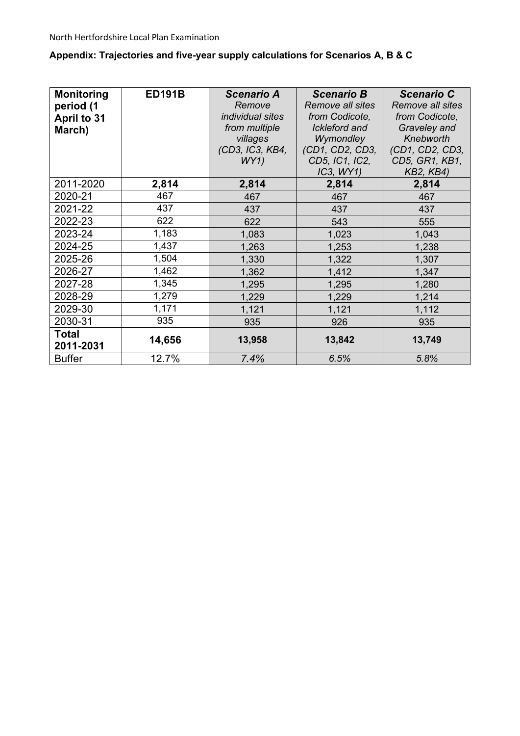# **Appendix: Trajectories and five-year supply calculations for Scenarios A, B & C**

| <b>Monitoring</b><br>period (1<br>April to 31<br>March) | <b>ED191B</b><br>(CD3, IC3, KB4, |                | <b>Scenario B</b><br>Remove all sites<br>from Codicote,<br>Ickleford and<br>Wymondley<br>(CD1, CD2, CD3,<br>CD5, IC1, IC2,<br>IC3, WY1) | <b>Scenario C</b><br>Remove all sites<br>from Codicote,<br>Graveley and<br>Knebworth<br>(CD1, CD2, CD3,<br>CD5, GR1, KB1,<br><b>KB2, KB4)</b> |  |
|---------------------------------------------------------|----------------------------------|----------------|-----------------------------------------------------------------------------------------------------------------------------------------|-----------------------------------------------------------------------------------------------------------------------------------------------|--|
| 2011-2020                                               | 2,814                            | 2,814          | 2,814                                                                                                                                   | 2,814                                                                                                                                         |  |
| 2020-21                                                 | 467                              | 467            | 467                                                                                                                                     | 467                                                                                                                                           |  |
| 2021-22                                                 | 437                              |                | 437                                                                                                                                     | 437                                                                                                                                           |  |
| 2022-23                                                 | 622                              |                | 543                                                                                                                                     | 555                                                                                                                                           |  |
| 2023-24                                                 | 1,183                            | 1,083          | 1,023                                                                                                                                   | 1,043                                                                                                                                         |  |
| 2024-25                                                 | 1,437                            |                | 1,253                                                                                                                                   | 1,238                                                                                                                                         |  |
| 2025-26                                                 | 1,504                            |                | 1,322                                                                                                                                   | 1,307                                                                                                                                         |  |
| 2026-27                                                 | 1,462                            | 1,362<br>1,412 |                                                                                                                                         | 1,347                                                                                                                                         |  |
| 2027-28                                                 | 1,345                            | 1,295          | 1,295                                                                                                                                   | 1,280                                                                                                                                         |  |
| 2028-29                                                 | 1,279                            | 1,229          | 1,229                                                                                                                                   | 1,214                                                                                                                                         |  |
| 2029-30                                                 | 1,171                            | 1,121          | 1,121                                                                                                                                   | 1,112                                                                                                                                         |  |
| 2030-31                                                 | 935                              | 935            | 926                                                                                                                                     | 935                                                                                                                                           |  |
| <b>Total</b><br>2011-2031                               | 14,656                           | 13,958         | 13,842                                                                                                                                  | 13,749                                                                                                                                        |  |
| <b>Buffer</b>                                           | 12.7%                            | 7.4%           | 6.5%                                                                                                                                    | 5.8%                                                                                                                                          |  |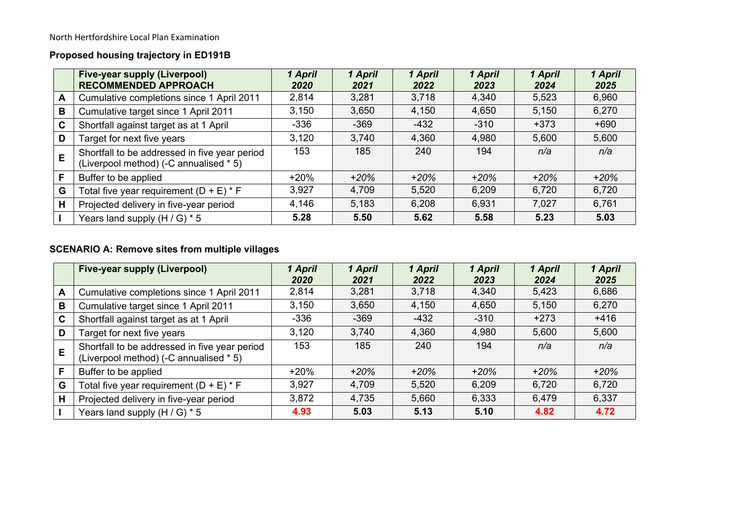# **Proposed housing trajectory in ED191B**

|              | <b>Five-year supply (Liverpool)</b><br><b>RECOMMENDED APPROACH</b>                      | 1 April<br>2020 | 1 April<br>2021 | 1 April<br>2022 | 1 April<br>2023 | 1 April<br>2024 | 1 April<br>2025 |
|--------------|-----------------------------------------------------------------------------------------|-----------------|-----------------|-----------------|-----------------|-----------------|-----------------|
| $\mathsf{A}$ | Cumulative completions since 1 April 2011                                               | 2,814           | 3,281           | 3,718           | 4,340           | 5,523           | 6,960           |
| B            | Cumulative target since 1 April 2011                                                    | 3,150           | 3,650           | 4,150           | 4,650           | 5,150           | 6,270           |
| $\mathbf c$  | Shortfall against target as at 1 April                                                  | $-336$          | -369            | $-432$          | $-310$          | $+373$          | $+690$          |
| D            | Target for next five years                                                              | 3,120           | 3,740           | 4,360           | 4,980           | 5,600           | 5,600           |
| E            | Shortfall to be addressed in five year period<br>(Liverpool method) (-C annualised * 5) | 153             | 185             | 240             | 194             | n/a             | n/a             |
| F            | Buffer to be applied                                                                    | $+20%$          | $+20%$          | $+20%$          | $+20%$          | $+20%$          | $+20%$          |
| G            | Total five year requirement $(D + E) * F$                                               | 3,927           | 4,709           | 5,520           | 6,209           | 6,720           | 6,720           |
| H            | Projected delivery in five-year period                                                  | 4,146           | 5,183           | 6,208           | 6,931           | 7,027           | 6,761           |
|              | Years land supply $(H/G)$ * 5                                                           | 5.28            | 5.50            | 5.62            | 5.58            | 5.23            | 5.03            |

# **SCENARIO A: Remove sites from multiple villages**

|   | <b>Five-year supply (Liverpool)</b>                                                     | 1 April<br>2020 | 1 April<br>2021 | 1 April<br>2022 | 1 April<br>2023 | 1 April<br>2024 | 1 April<br>2025 |
|---|-----------------------------------------------------------------------------------------|-----------------|-----------------|-----------------|-----------------|-----------------|-----------------|
| A | Cumulative completions since 1 April 2011                                               | 2,814           | 3,281           | 3,718           | 4,340           | 5,423           | 6,686           |
| B | Cumulative target since 1 April 2011                                                    | 3,150           | 3,650           | 4,150           | 4,650           | 5,150           | 6,270           |
| C | Shortfall against target as at 1 April                                                  | $-336$          | $-369$          | $-432$          | $-310$          | $+273$          | $+416$          |
| D | Target for next five years                                                              | 3,120           | 3,740           | 4,360           | 4,980           | 5,600           | 5,600           |
| E | Shortfall to be addressed in five year period<br>(Liverpool method) (-C annualised * 5) | 153             | 185             | 240             | 194             | n/a             | n/a             |
| F | Buffer to be applied                                                                    | $+20%$          | $+20%$          | $+20%$          | $+20%$          | $+20%$          | $+20%$          |
| G | Total five year requirement $(D + E) * F$                                               | 3,927           | 4,709           | 5,520           | 6,209           | 6,720           | 6,720           |
| Н | Projected delivery in five-year period                                                  | 3,872           | 4,735           | 5,660           | 6,333           | 6,479           | 6,337           |
|   | Years land supply $(H/G) * 5$                                                           | 4.93            | 5.03            | 5.13            | 5.10            | 4.82            | 4.72            |